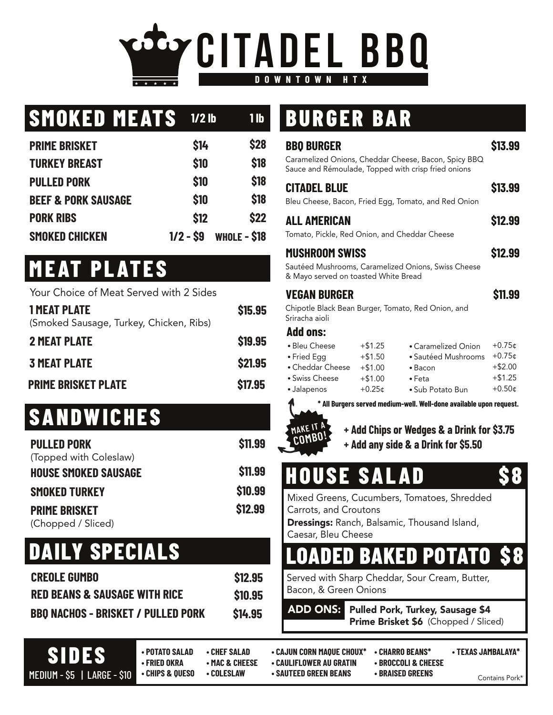

### **SMOKED MEATS**

| <b>PRIME BRISKET</b>           | \$14       | <b>\$28</b>  |
|--------------------------------|------------|--------------|
| <b>TURKEY BREAST</b>           | \$10       | \$18         |
| <b>PULLED PORK</b>             | \$10       | <b>\$18</b>  |
| <b>BEEF &amp; PORK SAUSAGE</b> | \$10       | <b>\$18</b>  |
| <b>PORK RIBS</b>               | \$12       | \$22         |
| <b>SMOKED CHICKEN</b>          | $1/2 - S9$ | WHOLE - \$18 |

#### **MEAT PLATES**

| Your Choice of Meat Served with 2 Sides                        |                |
|----------------------------------------------------------------|----------------|
| <b>1 MEAT PLATE</b><br>(Smoked Sausage, Turkey, Chicken, Ribs) | \$15.95        |
| <b>2 MEAT PLATE</b>                                            | \$19.95        |
| <b>3 MEAT PLATE</b>                                            | <b>\$21.95</b> |
| <b>PRIME BRISKET PLATE</b>                                     | \$17.95        |

#### **SANDWICHES**

| <b>PULLED PORK</b>          | \$11.99        |
|-----------------------------|----------------|
| (Topped with Coleslaw)      |                |
| <b>HOUSE SMOKED SAUSAGE</b> | <b>\$11.99</b> |
| <b>SMOKED TURKEY</b>        | \$10.99        |
| <b>PRIME BRISKET</b>        | \$12.99        |
| (Chopped / Sliced)          |                |

#### **DAILY SPECIALS**

| <b>CREOLE GUMBO</b>                       | \$12.95        |
|-------------------------------------------|----------------|
| <b>RED BEANS &amp; SAUSAGE WITH RICE</b>  | \$10.95        |
| <b>BBO NACHOS - BRISKET / PULLED PORK</b> | <b>\$14.95</b> |

### **1/2 lb 1 lb BURGER BAR**

| <b>BBO BURGER</b><br>Caramelized Onions, Cheddar Cheese, Bacon, Spicy BBQ<br>Sauce and Rémoulade, Topped with crisp fried onions                                                                                                                                                                                                                                                                                                                                                    | \$13.99                                                              |
|-------------------------------------------------------------------------------------------------------------------------------------------------------------------------------------------------------------------------------------------------------------------------------------------------------------------------------------------------------------------------------------------------------------------------------------------------------------------------------------|----------------------------------------------------------------------|
| <b>CITADEL BLUE</b><br>Bleu Cheese, Bacon, Fried Egg, Tomato, and Red Onion                                                                                                                                                                                                                                                                                                                                                                                                         | \$13.99                                                              |
| <b>ALL AMERICAN</b><br>Tomato, Pickle, Red Onion, and Cheddar Cheese                                                                                                                                                                                                                                                                                                                                                                                                                | \$12.99                                                              |
| <b>MUSHROOM SWISS</b><br>Sautéed Mushrooms, Caramelized Onions, Swiss Cheese<br>& Mayo served on toasted White Bread                                                                                                                                                                                                                                                                                                                                                                | \$12.99                                                              |
| <b>VEGAN BURGER</b><br>Chipotle Black Bean Burger, Tomato, Red Onion, and<br>Sriracha aioli                                                                                                                                                                                                                                                                                                                                                                                         | \$11.99                                                              |
| <b>Add ons:</b><br>· Bleu Cheese<br>$+ $1.25$<br>$\bullet$ Caramelized Onion<br>$+ $1.50$<br>· Sautéed Mushrooms<br>• Fried Egg<br>• Cheddar Cheese<br>$+ $1.00$<br>$\bullet$ Bacon<br>· Swiss Cheese<br>$+ $1.00$<br>$\bullet$ Feta<br>$+0.25$ ¢<br>· Jalapenos<br>• Sub Potato Bun<br>* All Burgers served medium-well. Well-done available upon request.<br>MAKE IT A<br>+ Add Chips or Wedges & a Drink for \$3.75<br>COMBO <sub>i</sub><br>+ Add any side & a Drink for \$5.50 | $+0.75$ ¢<br>$+0.75$ ¢<br>$+ $2.00$<br>$+ $1.25$<br>$+0.50 \text{C}$ |
| <b>HOUSE SALAD</b><br>Mixed Greens, Cucumbers, Tomatoes, Shredded<br>Carrots, and Croutons<br><b>Dressings:</b> Ranch, Balsamic, Thousand Island,<br>Caesar, Bleu Cheese                                                                                                                                                                                                                                                                                                            |                                                                      |
| <b>BAKED POTATO</b><br>Served with Sharp Cheddar, Sour Cream, Butter,                                                                                                                                                                                                                                                                                                                                                                                                               |                                                                      |
| Bacon, & Green Onions<br><b>ADD ONS:</b><br><b>Pulled Pork, Turkey, Sausage \$4</b><br>Prime Brisket \$6 (Chopped / Sliced)                                                                                                                                                                                                                                                                                                                                                         |                                                                      |

**SIDES**

- **POTATO SALAD CHEF SALAD CAJUN CORN MAQUE CHOUX\* CHARRO BEANS\* TEXAS JAMBALAYA\*** 
	-
- -